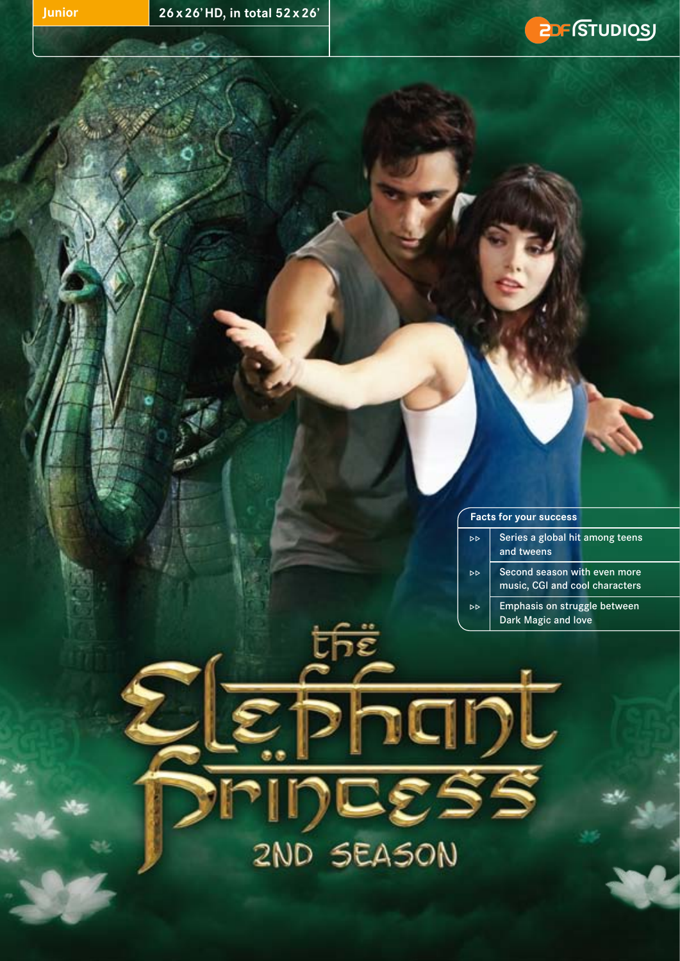

| <b>Facts for your success</b> |                                                                |  |  |  |  |
|-------------------------------|----------------------------------------------------------------|--|--|--|--|
| DD                            | Series a global hit among teens<br>and tweens                  |  |  |  |  |
| ÞЬ                            | Second season with even more<br>music, CGI and cool characters |  |  |  |  |
| চচ                            | Emphasis on struggle between<br>Dark Magic and love            |  |  |  |  |
|                               |                                                                |  |  |  |  |

्तिहैं

2ND SEASON

Fhant<br>Dhant<br>DEESS